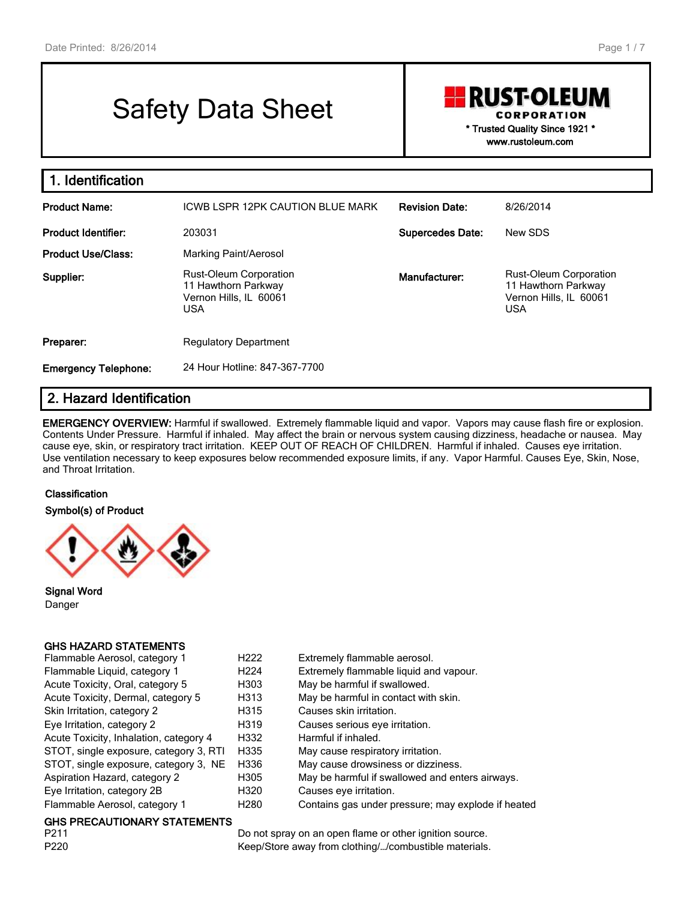# Safety Data Sheet

**RUST-OLEUM CORPORATION** 

> **\* Trusted Quality Since 1921 \* www.rustoleum.com**

| 1. Identification           |                                                                                              |                         |                                                                                              |
|-----------------------------|----------------------------------------------------------------------------------------------|-------------------------|----------------------------------------------------------------------------------------------|
| <b>Product Name:</b>        | ICWB LSPR 12PK CAUTION BLUE MARK                                                             | <b>Revision Date:</b>   | 8/26/2014                                                                                    |
| <b>Product Identifier:</b>  | 203031                                                                                       | <b>Supercedes Date:</b> | New SDS                                                                                      |
| <b>Product Use/Class:</b>   | Marking Paint/Aerosol                                                                        |                         |                                                                                              |
| Supplier:                   | <b>Rust-Oleum Corporation</b><br>11 Hawthorn Parkway<br>Vernon Hills, IL 60061<br><b>USA</b> | Manufacturer:           | <b>Rust-Oleum Corporation</b><br>11 Hawthorn Parkway<br>Vernon Hills, IL 60061<br><b>USA</b> |
| Preparer:                   | <b>Regulatory Department</b>                                                                 |                         |                                                                                              |
| <b>Emergency Telephone:</b> | 24 Hour Hotline: 847-367-7700                                                                |                         |                                                                                              |

# **2. Hazard Identification**

**EMERGENCY OVERVIEW:** Harmful if swallowed. Extremely flammable liquid and vapor. Vapors may cause flash fire or explosion. Contents Under Pressure. Harmful if inhaled. May affect the brain or nervous system causing dizziness, headache or nausea. May cause eye, skin, or respiratory tract irritation. KEEP OUT OF REACH OF CHILDREN. Harmful if inhaled. Causes eye irritation. Use ventilation necessary to keep exposures below recommended exposure limits, if any. Vapor Harmful. Causes Eye, Skin, Nose, and Throat Irritation.

**Classification**

**Symbol(s) of Product**



**Signal Word** Danger

#### **GHS HAZARD STATEMENTS**

| Flammable Aerosol, category 1          | H <sub>222</sub> | Extremely flammable aerosol.                       |
|----------------------------------------|------------------|----------------------------------------------------|
| Flammable Liquid, category 1           | H <sub>224</sub> | Extremely flammable liquid and vapour.             |
| Acute Toxicity, Oral, category 5       | H303             | May be harmful if swallowed.                       |
| Acute Toxicity, Dermal, category 5     | H313             | May be harmful in contact with skin.               |
| Skin Irritation, category 2            | H315             | Causes skin irritation.                            |
| Eye Irritation, category 2             | H319             | Causes serious eye irritation.                     |
| Acute Toxicity, Inhalation, category 4 | H332             | Harmful if inhaled.                                |
| STOT, single exposure, category 3, RTI | H335             | May cause respiratory irritation.                  |
| STOT, single exposure, category 3, NE  | H336             | May cause drowsiness or dizziness.                 |
| Aspiration Hazard, category 2          | H305             | May be harmful if swallowed and enters airways.    |
| Eye Irritation, category 2B            | H320             | Causes eve irritation.                             |
| Flammable Aerosol, category 1          | H <sub>280</sub> | Contains gas under pressure; may explode if heated |

# **GHS PRECAUTIONARY STATEMENTS**

Do not spray on an open flame or other ignition source. P220 **Keep/Store away from clothing/.../combustible materials.**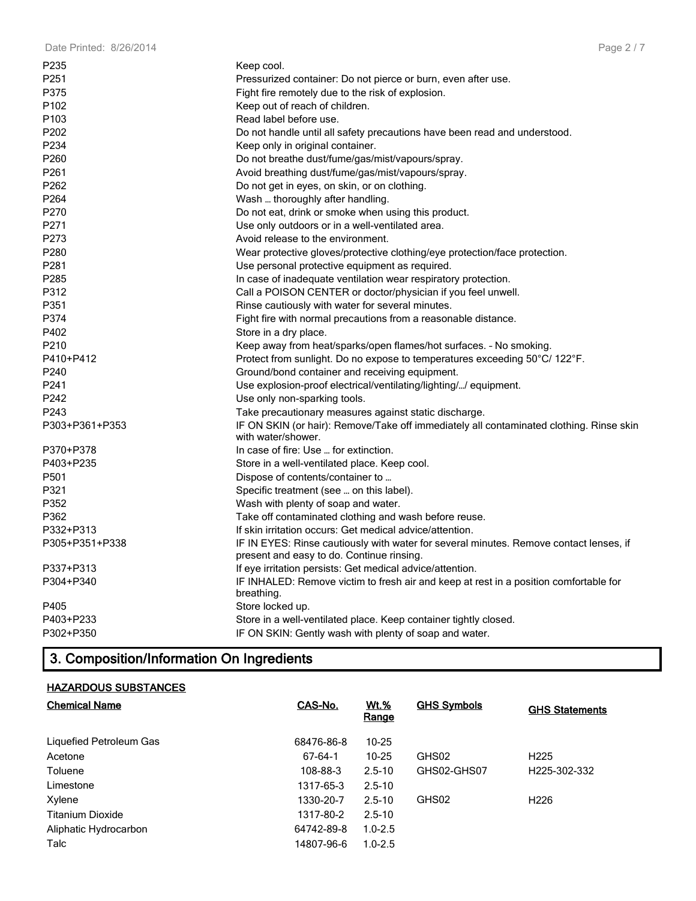| P235             | Keep cool.                                                                                                                          |
|------------------|-------------------------------------------------------------------------------------------------------------------------------------|
| P <sub>251</sub> | Pressurized container: Do not pierce or burn, even after use.                                                                       |
| P375             | Fight fire remotely due to the risk of explosion.                                                                                   |
| P <sub>102</sub> | Keep out of reach of children.                                                                                                      |
| P <sub>103</sub> | Read label before use.                                                                                                              |
| P202             | Do not handle until all safety precautions have been read and understood.                                                           |
| P234             | Keep only in original container.                                                                                                    |
| P <sub>260</sub> | Do not breathe dust/fume/gas/mist/vapours/spray.                                                                                    |
| P261             | Avoid breathing dust/fume/gas/mist/vapours/spray.                                                                                   |
| P262             | Do not get in eyes, on skin, or on clothing.                                                                                        |
| P264             | Wash  thoroughly after handling.                                                                                                    |
| P270             | Do not eat, drink or smoke when using this product.                                                                                 |
| P271             | Use only outdoors or in a well-ventilated area.                                                                                     |
| P273             | Avoid release to the environment.                                                                                                   |
| P280             | Wear protective gloves/protective clothing/eye protection/face protection.                                                          |
| P <sub>281</sub> | Use personal protective equipment as required.                                                                                      |
| P <sub>285</sub> | In case of inadequate ventilation wear respiratory protection.                                                                      |
| P312             | Call a POISON CENTER or doctor/physician if you feel unwell.                                                                        |
| P351             | Rinse cautiously with water for several minutes.                                                                                    |
| P374             | Fight fire with normal precautions from a reasonable distance.                                                                      |
| P402             | Store in a dry place.                                                                                                               |
| P <sub>210</sub> | Keep away from heat/sparks/open flames/hot surfaces. - No smoking.                                                                  |
| P410+P412        | Protect from sunlight. Do no expose to temperatures exceeding 50°C/ 122°F.                                                          |
| P240             | Ground/bond container and receiving equipment.                                                                                      |
| P241             | Use explosion-proof electrical/ventilating/lighting// equipment.                                                                    |
| P242             | Use only non-sparking tools.                                                                                                        |
| P243             | Take precautionary measures against static discharge.                                                                               |
| P303+P361+P353   | IF ON SKIN (or hair): Remove/Take off immediately all contaminated clothing. Rinse skin<br>with water/shower.                       |
| P370+P378        | In case of fire: Use  for extinction.                                                                                               |
| P403+P235        | Store in a well-ventilated place. Keep cool.                                                                                        |
| P501             | Dispose of contents/container to                                                                                                    |
| P321             | Specific treatment (see  on this label).                                                                                            |
| P352             | Wash with plenty of soap and water.                                                                                                 |
| P362             | Take off contaminated clothing and wash before reuse.                                                                               |
| P332+P313        | If skin irritation occurs: Get medical advice/attention.                                                                            |
| P305+P351+P338   | IF IN EYES: Rinse cautiously with water for several minutes. Remove contact lenses, if<br>present and easy to do. Continue rinsing. |
| P337+P313        | If eye irritation persists: Get medical advice/attention.                                                                           |
| P304+P340        | IF INHALED: Remove victim to fresh air and keep at rest in a position comfortable for<br>breathing.                                 |
| P405             | Store locked up.                                                                                                                    |
| P403+P233        | Store in a well-ventilated place. Keep container tightly closed.                                                                    |
| P302+P350        | IF ON SKIN: Gently wash with plenty of soap and water.                                                                              |

# **3. Composition/Information On Ingredients**

# **HAZARDOUS SUBSTANCES**

| <b>Chemical Name</b>    | CAS-No.    | <u>Wt.%</u><br><b>Range</b> | <b>GHS Symbols</b> | <b>GHS Statements</b> |
|-------------------------|------------|-----------------------------|--------------------|-----------------------|
| Liquefied Petroleum Gas | 68476-86-8 | $10 - 25$                   |                    |                       |
| Acetone                 | 67-64-1    | $10 - 25$                   | GHS02              | H <sub>225</sub>      |
| Toluene                 | 108-88-3   | $2.5 - 10$                  | GHS02-GHS07        | H225-302-332          |
| Limestone               | 1317-65-3  | $2.5 - 10$                  |                    |                       |
| Xylene                  | 1330-20-7  | $2.5 - 10$                  | GHS02              | H <sub>226</sub>      |
| <b>Titanium Dioxide</b> | 1317-80-2  | $2.5 - 10$                  |                    |                       |
| Aliphatic Hydrocarbon   | 64742-89-8 | $1.0 - 2.5$                 |                    |                       |
| Talc                    | 14807-96-6 | $1.0 - 2.5$                 |                    |                       |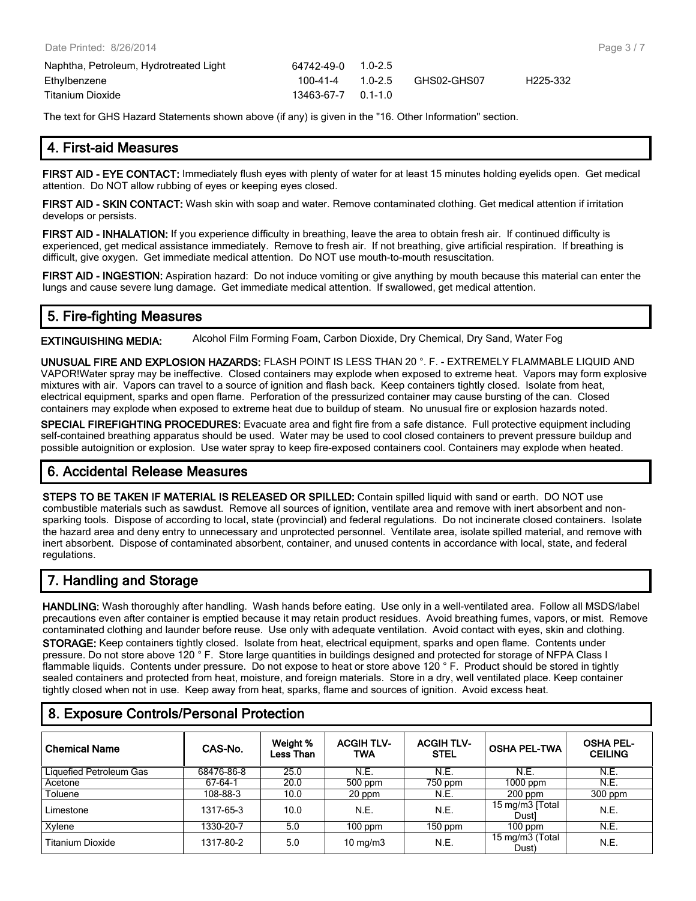| Naphtha, Petroleum, Hydrotreated Light | 64742-49-0         | $1.0 - 2.5$ |             |                       |
|----------------------------------------|--------------------|-------------|-------------|-----------------------|
| Ethylbenzene                           | 100-41-4           | $1.0 - 2.5$ | GHS02-GHS07 | H <sub>225</sub> -332 |
| Titanium Dioxide                       | 13463-67-7 0.1-1.0 |             |             |                       |

The text for GHS Hazard Statements shown above (if any) is given in the "16. Other Information" section.

#### **4. First-aid Measures**

**FIRST AID - EYE CONTACT:** Immediately flush eyes with plenty of water for at least 15 minutes holding eyelids open. Get medical attention. Do NOT allow rubbing of eyes or keeping eyes closed.

**FIRST AID - SKIN CONTACT:** Wash skin with soap and water. Remove contaminated clothing. Get medical attention if irritation develops or persists.

**FIRST AID - INHALATION:** If you experience difficulty in breathing, leave the area to obtain fresh air. If continued difficulty is experienced, get medical assistance immediately. Remove to fresh air. If not breathing, give artificial respiration. If breathing is difficult, give oxygen. Get immediate medical attention. Do NOT use mouth-to-mouth resuscitation.

**FIRST AID - INGESTION:** Aspiration hazard: Do not induce vomiting or give anything by mouth because this material can enter the lungs and cause severe lung damage. Get immediate medical attention. If swallowed, get medical attention.

# **5. Fire-fighting Measures**

**EXTINGUISHING MEDIA:** Alcohol Film Forming Foam, Carbon Dioxide, Dry Chemical, Dry Sand, Water Fog

**UNUSUAL FIRE AND EXPLOSION HAZARDS:** FLASH POINT IS LESS THAN 20 °. F. - EXTREMELY FLAMMABLE LIQUID AND VAPOR!Water spray may be ineffective. Closed containers may explode when exposed to extreme heat. Vapors may form explosive mixtures with air. Vapors can travel to a source of ignition and flash back. Keep containers tightly closed. Isolate from heat, electrical equipment, sparks and open flame. Perforation of the pressurized container may cause bursting of the can. Closed containers may explode when exposed to extreme heat due to buildup of steam. No unusual fire or explosion hazards noted.

**SPECIAL FIREFIGHTING PROCEDURES:** Evacuate area and fight fire from a safe distance. Full protective equipment including self-contained breathing apparatus should be used. Water may be used to cool closed containers to prevent pressure buildup and possible autoignition or explosion. Use water spray to keep fire-exposed containers cool. Containers may explode when heated.

# **6. Accidental Release Measures**

**STEPS TO BE TAKEN IF MATERIAL IS RELEASED OR SPILLED:** Contain spilled liquid with sand or earth. DO NOT use combustible materials such as sawdust. Remove all sources of ignition, ventilate area and remove with inert absorbent and nonsparking tools. Dispose of according to local, state (provincial) and federal regulations. Do not incinerate closed containers. Isolate the hazard area and deny entry to unnecessary and unprotected personnel. Ventilate area, isolate spilled material, and remove with inert absorbent. Dispose of contaminated absorbent, container, and unused contents in accordance with local, state, and federal regulations.

# **7. Handling and Storage**

**HANDLING:** Wash thoroughly after handling. Wash hands before eating. Use only in a well-ventilated area. Follow all MSDS/label precautions even after container is emptied because it may retain product residues. Avoid breathing fumes, vapors, or mist. Remove contaminated clothing and launder before reuse. Use only with adequate ventilation. Avoid contact with eyes, skin and clothing.

**STORAGE:** Keep containers tightly closed. Isolate from heat, electrical equipment, sparks and open flame. Contents under pressure. Do not store above 120 ° F. Store large quantities in buildings designed and protected for storage of NFPA Class I flammable liquids. Contents under pressure. Do not expose to heat or store above 120 °F. Product should be stored in tightly sealed containers and protected from heat, moisture, and foreign materials. Store in a dry, well ventilated place. Keep container tightly closed when not in use. Keep away from heat, sparks, flame and sources of ignition. Avoid excess heat.

| <b>Chemical Name</b>    | CAS-No.    | Weight %<br>Less Than | <b>ACGIH TLV-</b><br><b>TWA</b> | <b>ACGIH TLV-</b><br><b>STEL</b> | <b>OSHA PEL-TWA</b>      | <b>OSHA PEL-</b><br><b>CEILING</b> |
|-------------------------|------------|-----------------------|---------------------------------|----------------------------------|--------------------------|------------------------------------|
| Liquefied Petroleum Gas | 68476-86-8 | 25.0                  | N.E.                            | N.E.                             | N.E.                     | N.E.                               |
| Acetone                 | 67-64-1    | 20.0                  | 500 ppm                         | 750 ppm                          | 1000 ppm                 | N.E.                               |
| Toluene                 | 108-88-3   | 10.0                  | 20 ppm                          | N.E.                             | $200$ ppm                | $300$ ppm                          |
| Limestone               | 1317-65-3  | 10.0                  | N.E.                            | N.E.                             | 15 mg/m3 [Total<br>Dustl | N.E.                               |
| Xvlene                  | 1330-20-7  | 5.0                   | $100$ ppm                       | $150$ ppm                        | $100$ ppm                | N.E.                               |
| Titanium Dioxide        | 1317-80-2  | 5.0                   | $10 \text{ mg/m}$               | N.E.                             | 15 mg/m3 (Total<br>Dust) | N.E.                               |

# **8. Exposure Controls/Personal Protection**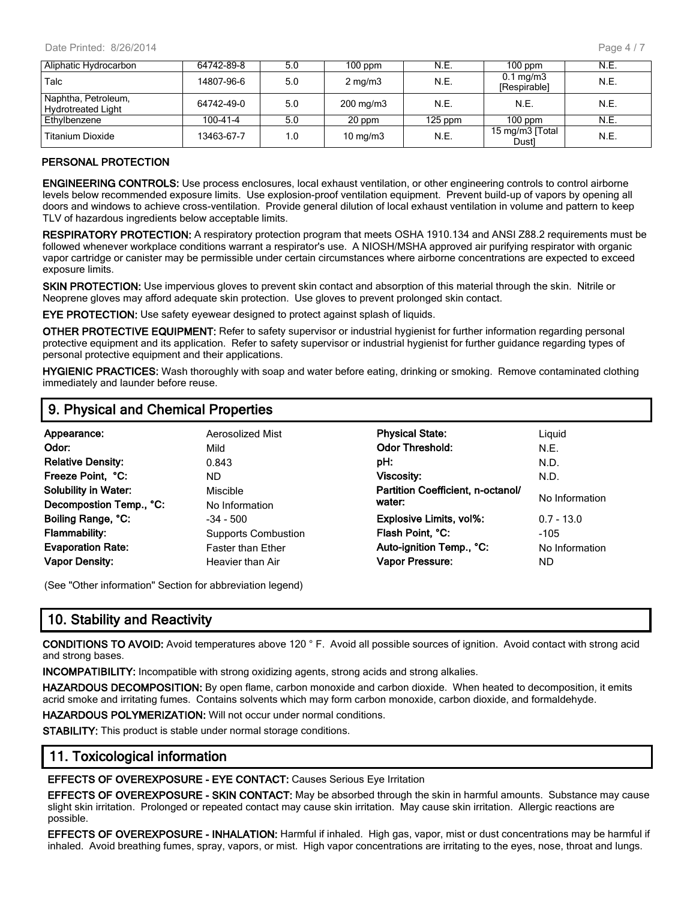| Aliphatic Hydrocarbon                            | 64742-89-8 | 5.0 | $100$ ppm            | N.E.      | $100$ ppm                          | N.E. |
|--------------------------------------------------|------------|-----|----------------------|-----------|------------------------------------|------|
| Talc                                             | 14807-96-6 | 5.0 | $2 \text{ mg/m}$     | N.E.      | $0.1 \text{ mg/m}$<br>[Respirable] | N.E. |
| Naphtha, Petroleum,<br><b>Hydrotreated Light</b> | 64742-49-0 | 5.0 | $200 \text{ mg/m}$ 3 | N.E.      | N.E.                               | N.E. |
| Ethylbenzene                                     | 100-41-4   | 5.0 | 20 ppm               | $125$ ppm | $100$ ppm                          | N.E. |
| Titanium Dioxide                                 | 13463-67-7 | 1.0 | $10 \text{ mg/m}$    | N.E.      | 15 mg/m3 [Total<br>Dustl           | N.E. |

#### **PERSONAL PROTECTION**

**ENGINEERING CONTROLS:** Use process enclosures, local exhaust ventilation, or other engineering controls to control airborne levels below recommended exposure limits. Use explosion-proof ventilation equipment. Prevent build-up of vapors by opening all doors and windows to achieve cross-ventilation. Provide general dilution of local exhaust ventilation in volume and pattern to keep TLV of hazardous ingredients below acceptable limits.

**RESPIRATORY PROTECTION:** A respiratory protection program that meets OSHA 1910.134 and ANSI Z88.2 requirements must be followed whenever workplace conditions warrant a respirator's use. A NIOSH/MSHA approved air purifying respirator with organic vapor cartridge or canister may be permissible under certain circumstances where airborne concentrations are expected to exceed exposure limits.

**SKIN PROTECTION:** Use impervious gloves to prevent skin contact and absorption of this material through the skin. Nitrile or Neoprene gloves may afford adequate skin protection. Use gloves to prevent prolonged skin contact.

**EYE PROTECTION:** Use safety eyewear designed to protect against splash of liquids.

**OTHER PROTECTIVE EQUIPMENT:** Refer to safety supervisor or industrial hygienist for further information regarding personal protective equipment and its application. Refer to safety supervisor or industrial hygienist for further guidance regarding types of personal protective equipment and their applications.

**HYGIENIC PRACTICES:** Wash thoroughly with soap and water before eating, drinking or smoking. Remove contaminated clothing immediately and launder before reuse.

### **9. Physical and Chemical Properties**

| Appearance:                 | Aerosolized Mist           | <b>Physical State:</b>            | Liquid         |
|-----------------------------|----------------------------|-----------------------------------|----------------|
| Odor:                       | Mild                       | <b>Odor Threshold:</b>            | N.E.           |
| <b>Relative Density:</b>    | 0.843                      | pH:                               | N.D.           |
| Freeze Point, °C:           | ND.                        | <b>Viscosity:</b>                 | N.D.           |
| <b>Solubility in Water:</b> | Miscible                   | Partition Coefficient, n-octanol/ |                |
| Decompostion Temp., °C:     | No Information             | water:                            | No Information |
| Boiling Range, °C:          | $-34 - 500$                | Explosive Limits, vol%:           | $0.7 - 13.0$   |
| <b>Flammability:</b>        | <b>Supports Combustion</b> | Flash Point, °C:                  | $-105$         |
| <b>Evaporation Rate:</b>    | <b>Faster than Ether</b>   | Auto-ignition Temp., °C:          | No Information |
| <b>Vapor Density:</b>       | Heavier than Air           | Vapor Pressure:                   | ND             |

(See "Other information" Section for abbreviation legend)

# **10. Stability and Reactivity**

**CONDITIONS TO AVOID:** Avoid temperatures above 120 ° F. Avoid all possible sources of ignition. Avoid contact with strong acid and strong bases.

**INCOMPATIBILITY:** Incompatible with strong oxidizing agents, strong acids and strong alkalies.

**HAZARDOUS DECOMPOSITION:** By open flame, carbon monoxide and carbon dioxide. When heated to decomposition, it emits acrid smoke and irritating fumes. Contains solvents which may form carbon monoxide, carbon dioxide, and formaldehyde.

**HAZARDOUS POLYMERIZATION:** Will not occur under normal conditions.

**STABILITY:** This product is stable under normal storage conditions.

#### **11. Toxicological information**

**EFFECTS OF OVEREXPOSURE - EYE CONTACT:** Causes Serious Eye Irritation

**EFFECTS OF OVEREXPOSURE - SKIN CONTACT:** May be absorbed through the skin in harmful amounts. Substance may cause slight skin irritation. Prolonged or repeated contact may cause skin irritation. May cause skin irritation. Allergic reactions are possible.

**EFFECTS OF OVEREXPOSURE - INHALATION:** Harmful if inhaled. High gas, vapor, mist or dust concentrations may be harmful if inhaled. Avoid breathing fumes, spray, vapors, or mist. High vapor concentrations are irritating to the eyes, nose, throat and lungs.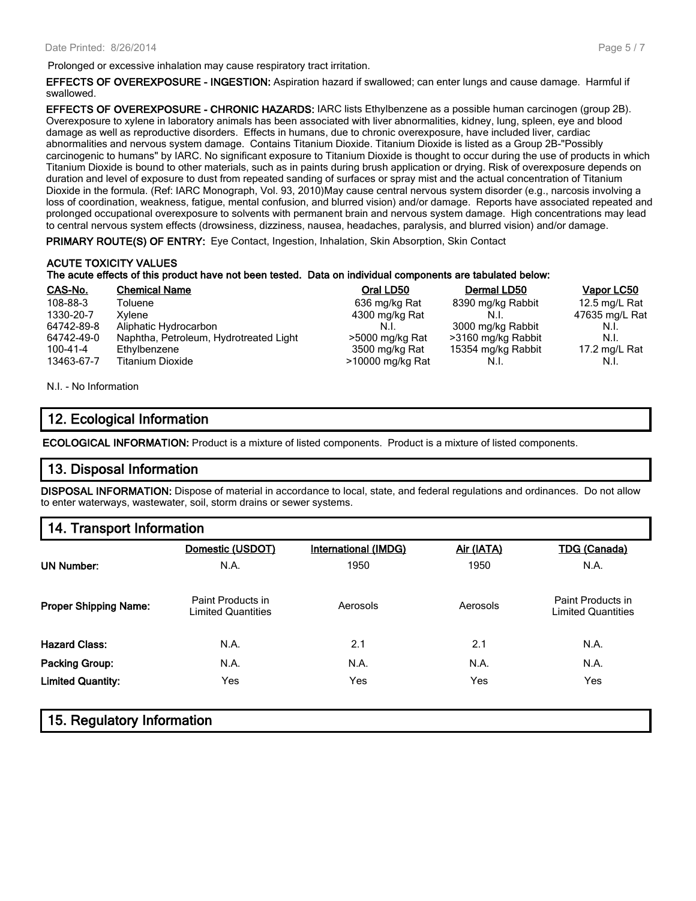Prolonged or excessive inhalation may cause respiratory tract irritation.

**EFFECTS OF OVEREXPOSURE - INGESTION:** Aspiration hazard if swallowed; can enter lungs and cause damage. Harmful if swallowed.

**EFFECTS OF OVEREXPOSURE - CHRONIC HAZARDS:** IARC lists Ethylbenzene as a possible human carcinogen (group 2B). Overexposure to xylene in laboratory animals has been associated with liver abnormalities, kidney, lung, spleen, eye and blood damage as well as reproductive disorders. Effects in humans, due to chronic overexposure, have included liver, cardiac abnormalities and nervous system damage. Contains Titanium Dioxide. Titanium Dioxide is listed as a Group 2B-"Possibly carcinogenic to humans" by IARC. No significant exposure to Titanium Dioxide is thought to occur during the use of products in which Titanium Dioxide is bound to other materials, such as in paints during brush application or drying. Risk of overexposure depends on duration and level of exposure to dust from repeated sanding of surfaces or spray mist and the actual concentration of Titanium Dioxide in the formula. (Ref: IARC Monograph, Vol. 93, 2010)May cause central nervous system disorder (e.g., narcosis involving a loss of coordination, weakness, fatigue, mental confusion, and blurred vision) and/or damage. Reports have associated repeated and prolonged occupational overexposure to solvents with permanent brain and nervous system damage. High concentrations may lead to central nervous system effects (drowsiness, dizziness, nausea, headaches, paralysis, and blurred vision) and/or damage.

**PRIMARY ROUTE(S) OF ENTRY:** Eye Contact, Ingestion, Inhalation, Skin Absorption, Skin Contact

# **ACUTE TOXICITY VALUES The acute effects of this product have not been tested. Data on individual components are tabulated below:**

| CAS-No.    | <b>Chemical Name</b>                   | Oral LD50        | Dermal LD50        | Vapor LC50     |
|------------|----------------------------------------|------------------|--------------------|----------------|
| 108-88-3   | Toluene                                | 636 mg/kg Rat    | 8390 mg/kg Rabbit  | 12.5 mg/L Rat  |
| 1330-20-7  | Xvlene                                 | 4300 mg/kg Rat   |                    | 47635 mg/L Rat |
| 64742-89-8 | Aliphatic Hydrocarbon                  | N.I.             | 3000 mg/kg Rabbit  | N.I.           |
| 64742-49-0 | Naphtha, Petroleum, Hydrotreated Light | >5000 mg/kg Rat  | >3160 mg/kg Rabbit | N.I.           |
| 100-41-4   | Ethylbenzene                           | 3500 mg/kg Rat   | 15354 mg/kg Rabbit | 17.2 mg/L Rat  |
| 13463-67-7 | <b>Titanium Dioxide</b>                | >10000 mg/kg Rat | N.I.               | N.I.           |

N.I. - No Information

# **12. Ecological Information**

**ECOLOGICAL INFORMATION:** Product is a mixture of listed components. Product is a mixture of listed components.

# **13. Disposal Information**

**DISPOSAL INFORMATION:** Dispose of material in accordance to local, state, and federal regulations and ordinances. Do not allow to enter waterways, wastewater, soil, storm drains or sewer systems.

### **14. Transport Information**

|                              | Domestic (USDOT)                               | <b>International (IMDG)</b> | Air (IATA) | <b>TDG (Canada)</b>                            |
|------------------------------|------------------------------------------------|-----------------------------|------------|------------------------------------------------|
| <b>UN Number:</b>            | N.A.                                           | 1950                        | 1950       | N.A.                                           |
| <b>Proper Shipping Name:</b> | Paint Products in<br><b>Limited Quantities</b> | Aerosols                    | Aerosols   | Paint Products in<br><b>Limited Quantities</b> |
| <b>Hazard Class:</b>         | N.A.                                           | 2.1                         | 2.1        | N.A.                                           |
| Packing Group:               | N.A.                                           | N.A.                        | N.A.       | N.A.                                           |
| <b>Limited Quantity:</b>     | Yes                                            | Yes                         | Yes        | Yes                                            |
|                              |                                                |                             |            |                                                |

# **15. Regulatory Information**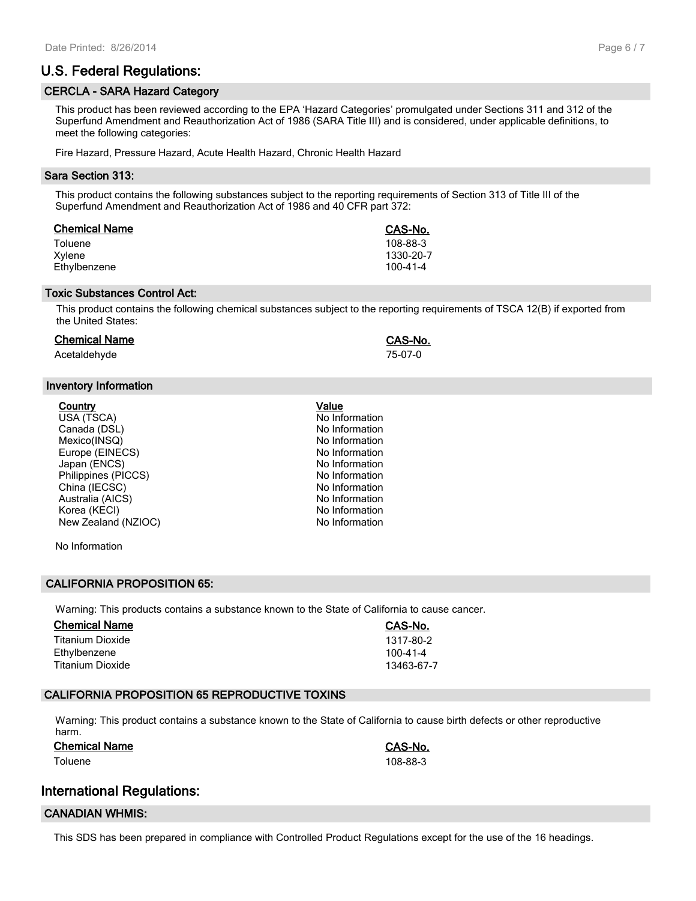# **U.S. Federal Regulations:**

#### **CERCLA - SARA Hazard Category**

This product has been reviewed according to the EPA 'Hazard Categories' promulgated under Sections 311 and 312 of the Superfund Amendment and Reauthorization Act of 1986 (SARA Title III) and is considered, under applicable definitions, to meet the following categories:

Fire Hazard, Pressure Hazard, Acute Health Hazard, Chronic Health Hazard

#### **Sara Section 313:**

This product contains the following substances subject to the reporting requirements of Section 313 of Title III of the Superfund Amendment and Reauthorization Act of 1986 and 40 CFR part 372:

| <b>Chemical Name</b> | CAS-No.        |
|----------------------|----------------|
| Toluene              | 108-88-3       |
| Xvlene               | 1330-20-7      |
| Ethylbenzene         | $100 - 41 - 4$ |

#### **Toxic Substances Control Act:**

This product contains the following chemical substances subject to the reporting requirements of TSCA 12(B) if exported from the United States:

#### **Chemical Name CAS-No.**

Acetaldehyde 75-07-0

#### **Inventory Information**

| <u>Country</u>      | Value  |
|---------------------|--------|
| USA (TSCA)          | No Inf |
| Canada (DSL)        | No Inf |
| Mexico(INSQ)        | No Inf |
| Europe (EINECS)     | No Inf |
| Japan (ENCS)        | No Inf |
| Philippines (PICCS) | No Inf |
| China (IECSC)       | No Inf |
| Australia (AICS)    | No Inf |
| Korea (KECI)        | No Inf |
| New Zealand (NZIOC) | No Inf |
|                     |        |

No Information

#### **CALIFORNIA PROPOSITION 65:**

Warning: This products contains a substance known to the State of California to cause cancer.

| <b>Chemical Name</b> | CAS-No.    |
|----------------------|------------|
| Titanium Dioxide     | 1317-80-2  |
| Ethylbenzene         | 100-41-4   |
| Titanium Dioxide     | 13463-67-7 |

#### **CALIFORNIA PROPOSITION 65 REPRODUCTIVE TOXINS**

Warning: This product contains a substance known to the State of California to cause birth defects or other reproductive harm.

#### **Chemical Name CAS-No.**

Toluene 108-88-3

#### **International Regulations:**

#### **CANADIAN WHMIS:**

This SDS has been prepared in compliance with Controlled Product Regulations except for the use of the 16 headings.

No Information No Information No Information No Information No Information No Information No Information

No Information No Information No Information